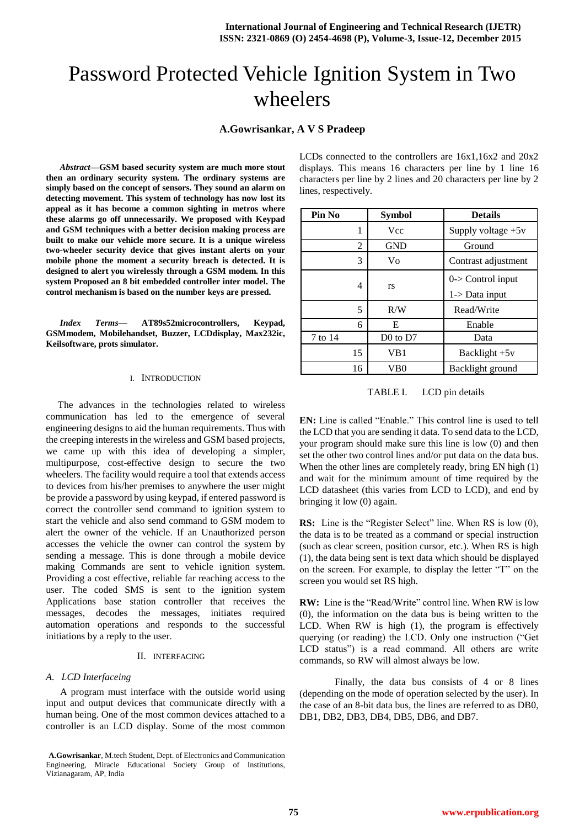# Password Protected Vehicle Ignition System in Two wheelers

**A.Gowrisankar, A V S Pradeep**

*Abstract***—GSM based security system are much more stout then an ordinary security system. The ordinary systems are simply based on the concept of sensors. They sound an alarm on detecting movement. This system of technology has now lost its appeal as it has become a common sighting in metros where these alarms go off unnecessarily. We proposed with Keypad and GSM techniques with a better decision making process are built to make our vehicle more secure. It is a unique wireless two-wheeler security device that gives instant alerts on your mobile phone the moment a security breach is detected. It is designed to alert you wirelessly through a GSM modem. In this system Proposed an 8 bit embedded controller inter model. The control mechanism is based on the number keys are pressed.**

*Index Terms***— AT89s52microcontrollers, Keypad, GSMmodem, Mobilehandset, Buzzer, LCDdisplay, Max232ic, Keilsoftware, prots simulator.**

#### I. INTRODUCTION

The advances in the technologies related to wireless communication has led to the emergence of several engineering designs to aid the human requirements. Thus with the creeping interests in the wireless and GSM based projects, we came up with this idea of developing a simpler, multipurpose, cost-effective design to secure the two wheelers. The facility would require a tool that extends access to devices from his/her premises to anywhere the user might be provide a password by using keypad, if entered password is correct the controller send command to ignition system to start the vehicle and also send command to GSM modem to alert the owner of the vehicle. If an Unauthorized person accesses the vehicle the owner can control the system by sending a message. This is done through a mobile device making Commands are sent to vehicle ignition system. Providing a cost effective, reliable far reaching access to the user. The coded SMS is sent to the ignition system Applications base station controller that receives the messages, decodes the messages, initiates required automation operations and responds to the successful initiations by a reply to the user.

#### II. INTERFACING

#### *A. LCD Interfaceing*

A program must interface with the outside world using input and output devices that communicate directly with a human being. One of the most common devices attached to a controller is an LCD display. Some of the most common

| LCDs connected to the controllers are $16x1.16x2$ and $20x2$   |
|----------------------------------------------------------------|
| displays. This means 16 characters per line by 1 line 16       |
| characters per line by 2 lines and 20 characters per line by 2 |
| lines, respectively.                                           |

| Pin No  | <b>Symbol</b> | <b>Details</b>                               |  |  |  |
|---------|---------------|----------------------------------------------|--|--|--|
| 1       | Vcc           | Supply voltage $+5v$                         |  |  |  |
| 2       | <b>GND</b>    | Ground                                       |  |  |  |
| 3       | Vo            | Contrast adjustment                          |  |  |  |
| 4       | <b>rs</b>     | $0$ -> Control input<br>$1$ - $>$ Data input |  |  |  |
| 5       | R/W           | Read/Write                                   |  |  |  |
| 6       | E             | Enable                                       |  |  |  |
| 7 to 14 | $D0$ to $D7$  | Data                                         |  |  |  |
| 15      | VB1           | Backlight +5v                                |  |  |  |
| 16      | VB0           | Backlight ground                             |  |  |  |

TABLE I. LCD pin details

**EN:** Line is called "Enable." This control line is used to tell the LCD that you are sending it data. To send data to the LCD, your program should make sure this line is low (0) and then set the other two control lines and/or put data on the data bus. When the other lines are completely ready, bring EN high (1) and wait for the minimum amount of time required by the LCD datasheet (this varies from LCD to LCD), and end by bringing it low (0) again.

**RS:** Line is the "Register Select" line. When RS is low (0), the data is to be treated as a command or special instruction (such as clear screen, position cursor, etc.). When RS is high (1), the data being sent is text data which should be displayed on the screen. For example, to display the letter "T" on the screen you would set RS high.

**RW:** Line is the "Read/Write" control line. When RW is low (0), the information on the data bus is being written to the LCD. When RW is high (1), the program is effectively querying (or reading) the LCD. Only one instruction ("Get LCD status") is a read command. All others are write commands, so RW will almost always be low.

Finally, the data bus consists of 4 or 8 lines (depending on the mode of operation selected by the user). In the case of an 8-bit data bus, the lines are referred to as DB0, DB1, DB2, DB3, DB4, DB5, DB6, and DB7.

**A.Gowrisankar**, M.tech Student, Dept. of Electronics and Communication Engineering, Miracle Educational Society Group of Institutions, Vizianagaram, AP, India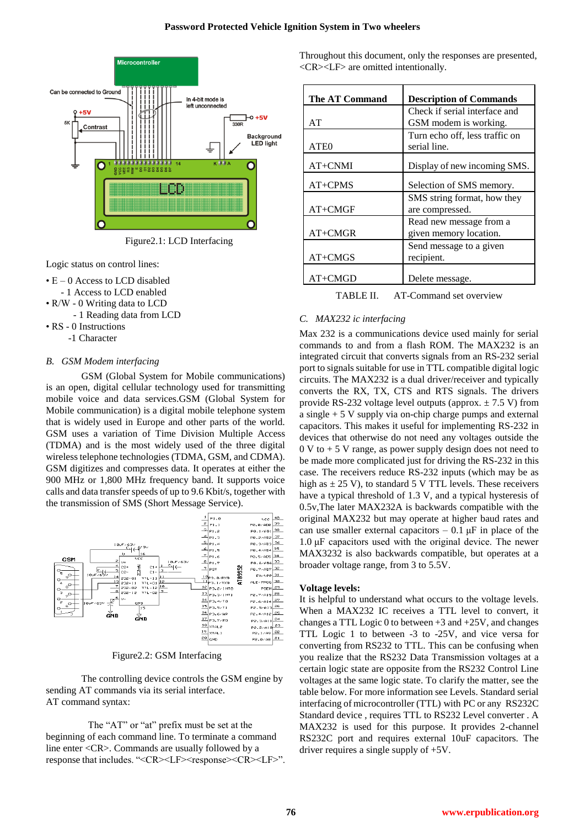

Figure2.1: LCD Interfacing

Logic status on control lines:

- E 0 Access to LCD disabled
- 1 Access to LCD enabled
- R/W 0 Writing data to LCD
	- 1 Reading data from LCD
- RS 0 Instructions
	- -1 Character

# *B. GSM Modem interfacing*

GSM (Global System for Mobile communications) is an open, digital cellular technology used for transmitting mobile voice and data services.GSM (Global System for Mobile communication) is a digital mobile telephone system that is widely used in Europe and other parts of the world. GSM uses a variation of Time Division Multiple Access (TDMA) and is the most widely used of the three digital wireless telephone technologies (TDMA, GSM, and CDMA). GSM digitizes and compresses data. It operates at either the 900 MHz or 1,800 MHz frequency band. It supports voice calls and data transfer speeds of up to 9.6 Kbit/s, together with the transmission of SMS (Short Message Service).



Figure2.2: GSM Interfacing

The controlling device controls the GSM engine by sending AT commands via its serial interface. AT command syntax:

The "AT" or "at" prefix must be set at the beginning of each command line. To terminate a command line enter <CR>. Commands are usually followed by a response that includes. "<CR><LF><cR><CR><CR><LF>".

Throughout this document, only the responses are presented, <CR><LF> are omitted intentionally.

| <b>The AT Command</b> | <b>Description of Commands</b> |  |  |
|-----------------------|--------------------------------|--|--|
|                       | Check if serial interface and  |  |  |
| AT                    | GSM modem is working.          |  |  |
|                       | Turn echo off, less traffic on |  |  |
| ATE <sub>0</sub>      | serial line.                   |  |  |
| $AT+CNMI$             | Display of new incoming SMS.   |  |  |
| $AT+CPMS$             | Selection of SMS memory.       |  |  |
|                       | SMS string format, how they    |  |  |
| $AT+CMGF$             | are compressed.                |  |  |
|                       | Read new message from a        |  |  |
| $AT+CMGR$             | given memory location.         |  |  |
|                       | Send message to a given        |  |  |
| $AT+CMGS$             | recipient.                     |  |  |
| $AT+CMGD$             | Delete message.                |  |  |

TABLE II. AT-Command set overview

# *C. MAX232 ic interfacing*

Max 232 is a communications device used mainly for serial commands to and from a flash ROM. The MAX232 is an [integrated circuit](http://en.wikipedia.org/wiki/Integrated_circuit) that converts signals from an [RS-232](http://en.wikipedia.org/wiki/RS-232) serial port to signals suitable for use i[n TTL](http://en.wikipedia.org/wiki/Transistor-transistor_logic) compatible digital logic circuits. The MAX232 is a dual driver/receiver and typically converts the RX, TX, CTS and RTS signals. The drivers provide RS-232 voltage level outputs (approx.  $\pm$  7.5 V) from a single + 5 V supply via on-chi[p charge pumps](http://en.wikipedia.org/wiki/Charge_pump) and external capacitors. This makes it useful for implementing RS-232 in devices that otherwise do not need any voltages outside the  $0 \text{ V}$  to  $+ 5 \text{ V}$  range, as [power supply](http://en.wikipedia.org/wiki/Power_supply) design does not need to be made more complicated just for driving the RS-232 in this case. The receivers reduce RS-232 inputs (which may be as high as  $\pm$  25 V), to standard 5 V [TTL](http://en.wikipedia.org/wiki/Transistor-transistor_logic) levels. These receivers have a typical threshold of 1.3 V, and a typical [hysteresis](http://en.wikipedia.org/wiki/Hysteresis) of 0.5v,The later MAX232A is backwards compatible with the original MAX232 but may operate at higher [baud](http://en.wikipedia.org/wiki/Baud) rates and can use smaller external capacitors  $-0.1 \mu$ F in place of the 1.0 μF capacitors used with the original device. The newer MAX3232 is also backwards compatible, but operates at a broader voltage range, from 3 to 5.5V.

# **Voltage levels:**

It is helpful to understand what occurs to the voltage levels. When a MAX232 IC receives a TTL level to convert, it changes a TTL Logic 0 to between  $+3$  and  $+25V$ , and changes TTL Logic 1 to between -3 to -25V, and vice versa for converting from RS232 to TTL. This can be confusing when you realize that the RS232 Data Transmission voltages at a certain logic state are opposite from the RS232 Control Line voltages at the same logic state. To clarify the matter, see the table below. For more information see Levels. Standard serial interfacing of microcontroller (TTL) with PC or any [RS232C](http://www.arcelect.com/rs232.htm) Standard device , requires TTL to RS232 Level converter . A [MAX232](http://www.bsc.nodak.edu/electron/rs232.htm) is used for this purpose. It provides 2-channel RS232C port and requires external 10uF capacitors. The driver requires a single supply of +5V.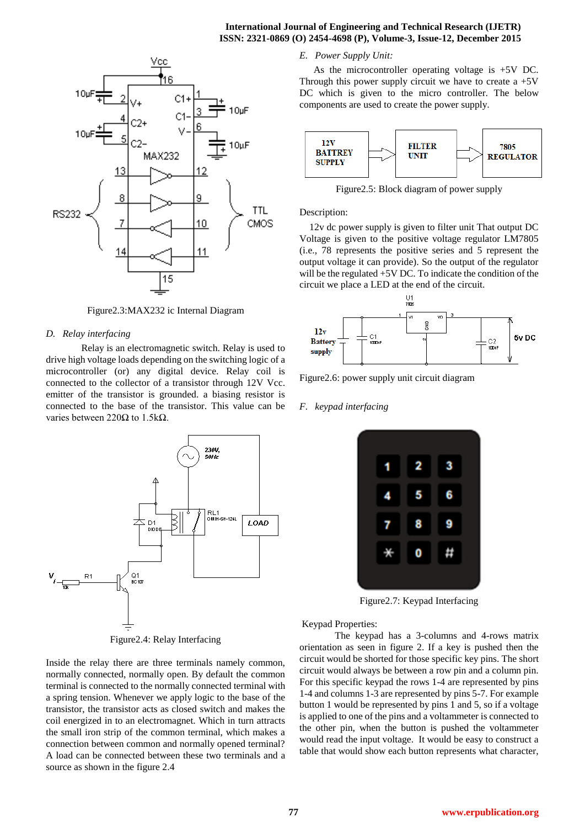## **International Journal of Engineering and Technical Research (IJETR) ISSN: 2321-0869 (O) 2454-4698 (P), Volume-3, Issue-12, December 2015**



Figure2.3:MAX232 ic Internal Diagram

## *D. Relay interfacing*

Relay is an electromagnetic switch. Relay is used to drive high voltage loads depending on the switching logic of a microcontroller (or) any digital device. Relay coil is connected to the collector of a transistor through 12V Vcc. emitter of the transistor is grounded. a biasing resistor is connected to the base of the transistor. This value can be varies between 220 $Ω$  to 1.5k $Ω$ .



Figure2.4: Relay Interfacing

Inside the relay there are three terminals namely common, normally connected, normally open. By default the common terminal is connected to the normally connected terminal with a spring tension. Whenever we apply logic to the base of the transistor, the transistor acts as closed switch and makes the coil energized in to an electromagnet. Which in turn attracts the small iron strip of the common terminal, which makes a connection between common and normally opened terminal? A load can be connected between these two terminals and a source as shown in the figure 2.4

## *E. Power Supply Unit:*

As the microcontroller operating voltage is +5V DC. Through this power supply circuit we have to create a  $+5V$ DC which is given to the micro controller. The below components are used to create the power supply.



Figure2.5: Block diagram of power supply

#### Description:

12v dc power supply is given to filter unit That output DC Voltage is given to the positive voltage regulator LM7805 (i.e., 78 represents the positive series and 5 represent the output voltage it can provide). So the output of the regulator will be the regulated +5V DC. To indicate the condition of the circuit we place a LED at the end of the circuit.



Figure2.6: power supply unit circuit diagram

#### *F. keypad interfacing*



Figure2.7: Keypad Interfacing

Keypad Properties:

The keypad has a 3-columns and 4-rows matrix orientation as seen in figure 2. If a key is pushed then the circuit would be shorted for those specific key pins. The short circuit would always be between a row pin and a column pin. For this specific keypad the rows 1-4 are represented by pins 1-4 and columns 1-3 are represented by pins 5-7. For example button 1 would be represented by pins 1 and 5, so if a voltage is applied to one of the pins and a voltammeter is connected to the other pin, when the button is pushed the voltammeter would read the input voltage. It would be easy to construct a table that would show each button represents what character,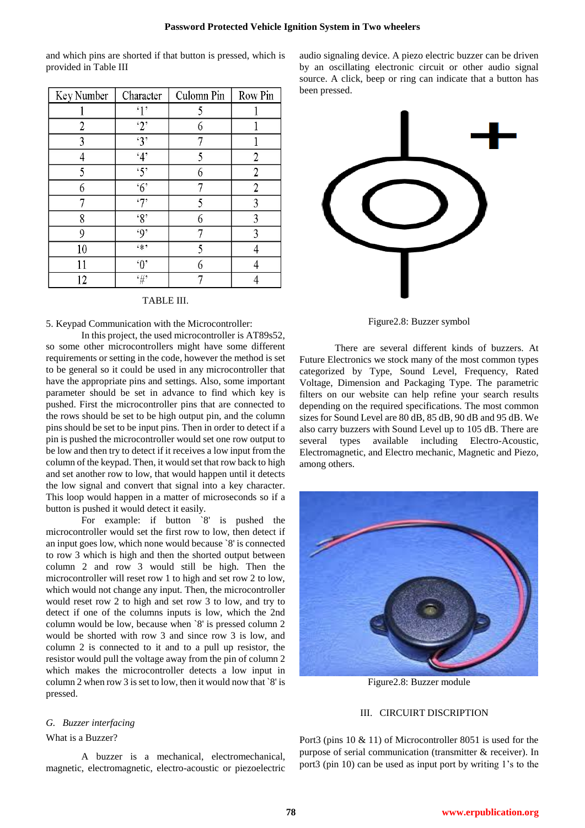and which pins are shorted if that button is pressed, which is provided in Table III

| Key Number | Character        | Culomn Pin | Row Pin |
|------------|------------------|------------|---------|
|            | $\mathbf{1}$     | 5          |         |
| 2          | $\cdot_2$        | 6          |         |
| 3          | $\overline{3}$   |            |         |
| 4          | 4'               | 5          | 2       |
| 5          | $\mathfrak{S}^*$ | 6          | 2       |
| 6          | $\overline{6}$   |            | 2       |
|            | $\cdot$ 7'       | 5          | 3       |
| 8          | $\cdot_8$        | 6          | 3       |
| 9          | .9'              |            | 3       |
| 10         | $6 * 2$          | 5          |         |
| 11         | $\lq 0$          | 6          |         |
| 12         | $^\epsilon\#$    |            |         |

## TABLE III.

## 5. Keypad Communication with the Microcontroller:

In this project, the used microcontroller is AT89s52, so some other microcontrollers might have some different requirements or setting in the code, however the method is set to be general so it could be used in any microcontroller that have the appropriate pins and settings. Also, some important parameter should be set in advance to find which key is pushed. First the microcontroller pins that are connected to the rows should be set to be high output pin, and the column pins should be set to be input pins. Then in order to detect if a pin is pushed the microcontroller would set one row output to be low and then try to detect if it receives a low input from the column of the keypad. Then, it would set that row back to high and set another row to low, that would happen until it detects the low signal and convert that signal into a key character. This loop would happen in a matter of microseconds so if a button is pushed it would detect it easily.

For example: if button `8' is pushed the microcontroller would set the first row to low, then detect if an input goes low, which none would because `8' is connected to row 3 which is high and then the shorted output between column 2 and row 3 would still be high. Then the microcontroller will reset row 1 to high and set row 2 to low, which would not change any input. Then, the microcontroller would reset row 2 to high and set row 3 to low, and try to detect if one of the columns inputs is low, which the 2nd column would be low, because when `8' is pressed column 2 would be shorted with row 3 and since row 3 is low, and column 2 is connected to it and to a pull up resistor, the resistor would pull the voltage away from the pin of column 2 which makes the microcontroller detects a low input in column 2 when row 3 is set to low, then it would now that `8' is pressed.

## *G. Buzzer interfacing*

# What is a Buzzer?

A buzzer is a mechanical, electromechanical, magnetic, electromagnetic, electro-acoustic or piezoelectric

audio signaling device. A piezo electric buzzer can be driven by an oscillating electronic circuit or other audio signal source. A click, beep or ring can indicate that a button has been pressed.



Figure2.8: Buzzer symbol

There are several different kinds of buzzers. At Future Electronics we stock many of the most common types categorized by Type, Sound Level, Frequency, Rated Voltage, Dimension and Packaging Type. The parametric filters on our website can help refine your search results depending on the required specifications. The most common sizes for Sound Level are 80 dB, 85 dB, 90 dB and 95 dB. We also carry buzzers with Sound Level up to 105 dB. There are several types available including Electro-Acoustic, Electromagnetic, and Electro mechanic, Magnetic and Piezo, among others.



Figure2.8: Buzzer module

## III. CIRCUIRT DISCRIPTION

Port3 (pins 10 & 11) of Microcontroller 8051 is used for the purpose of serial communication (transmitter & receiver). In port3 (pin 10) can be used as input port by writing 1's to the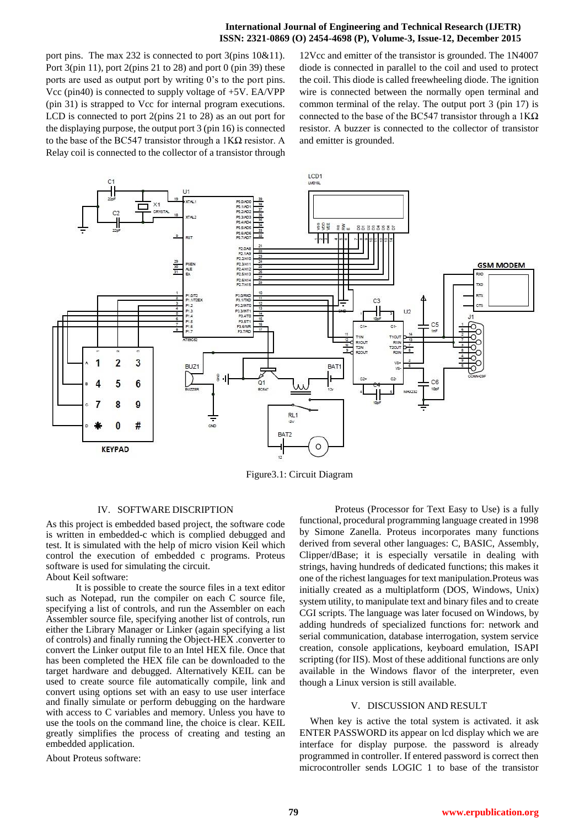## **International Journal of Engineering and Technical Research (IJETR) ISSN: 2321-0869 (O) 2454-4698 (P), Volume-3, Issue-12, December 2015**

port pins. The max 232 is connected to port 3(pins 10&11). Port 3(pin 11), port 2(pins 21 to 28) and port 0 (pin 39) these ports are used as output port by writing 0's to the port pins. Vcc (pin40) is connected to supply voltage of +5V. EA/VPP (pin 31) is strapped to Vcc for internal program executions. LCD is connected to port 2(pins 21 to 28) as an out port for the displaying purpose, the output port 3 (pin 16) is connected to the base of the BC547 transistor through a 1KΩ resistor. A Relay coil is connected to the collector of a transistor through

12Vcc and emitter of the transistor is grounded. The 1N4007 diode is connected in parallel to the coil and used to protect the coil. This diode is called freewheeling diode. The ignition wire is connected between the normally open terminal and common terminal of the relay. The output port 3 (pin 17) is connected to the base of the BC547 transistor through a  $1K\Omega$ resistor. A buzzer is connected to the collector of transistor and emitter is grounded.



Figure3.1: Circuit Diagram

#### IV. SOFTWARE DISCRIPTION

As this project is embedded based project, the software code is written in embedded-c which is complied debugged and test. It is simulated with the help of micro vision Keil which control the execution of embedded c programs. Proteus software is used for simulating the circuit. About Keil software:

 It is possible to create the source files in a text editor such as Notepad, run the compiler on each C source file, specifying a list of controls, and run the Assembler on each Assembler source file, specifying another list of controls, run either the Library Manager or Linker (again specifying a list of controls) and finally running the Object-HEX .converter to convert the Linker output file to an Intel HEX file. Once that has been completed the HEX file can be downloaded to the target hardware and debugged. Alternatively KEIL can be used to create source file automatically compile, link and convert using options set with an easy to use user interface and finally simulate or perform debugging on the hardware with access to C variables and memory. Unless you have to use the tools on the command line, the choice is clear. KEIL greatly simplifies the process of creating and testing an embedded application.

About Proteus software:

Proteus (Processor for Text Easy to Use) is a fully functional, procedural programming language created in 1998 by Simone Zanella. Proteus incorporates many functions derived from several other languages: [C,](https://en.wikipedia.org/wiki/C_%28programming_language%29) [BASIC,](https://en.wikipedia.org/wiki/BASIC) [Assembly,](https://en.wikipedia.org/wiki/Assembly_%28programming%29) [Clipper/](https://en.wikipedia.org/wiki/Clipper_%28programming_language%29)dBase; it is especially versatile in dealing with strings, having hundreds of dedicated functions; this makes it one of the richest languages for text manipulation.Proteus was initially created as a multiplatform [\(DOS,](https://en.wikipedia.org/wiki/DOS) [Windows,](https://en.wikipedia.org/wiki/Windows) [Unix\)](https://en.wikipedia.org/wiki/Unix) system utility, to manipulate text and binary files and to create [CGI](https://en.wikipedia.org/wiki/Common_Gateway_Interface) scripts. The language was later focused on Windows, by adding hundreds of specialized functions for: network and serial communication, database interrogation, system service creation, console applications, keyboard emulation, [ISAPI](https://en.wikipedia.org/wiki/ISAPI) scripting (for [IIS\)](https://en.wikipedia.org/wiki/Internet_Information_Services). Most of these additional functions are only available in the Windows flavor of the interpreter, even though [a Linux](https://en.wikipedia.org/wiki/Linux) version is still available.

#### V. DISCUSSION AND RESULT

When key is active the total system is activated. it ask ENTER PASSWORD its appear on lcd display which we are interface for display purpose. the password is already programmed in controller. If entered password is correct then microcontroller sends LOGIC 1 to base of the transistor